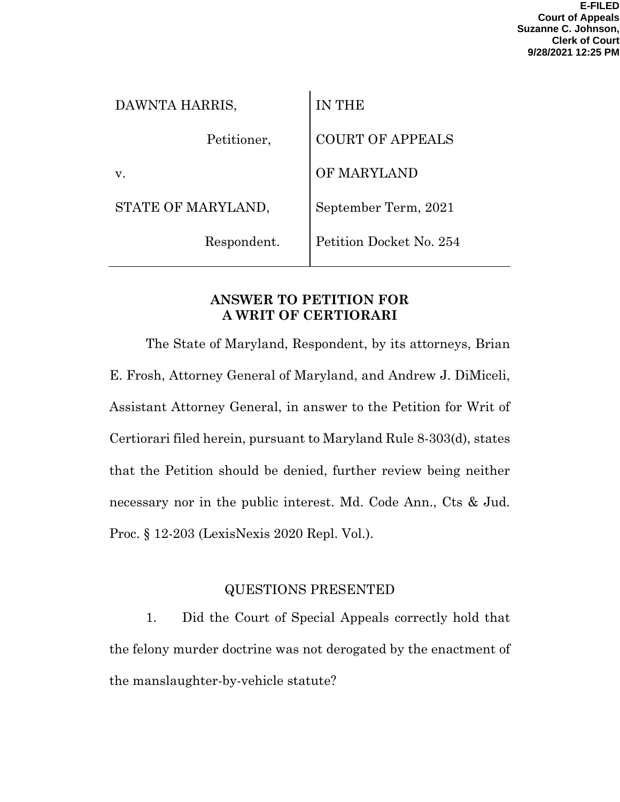| <b>IN THE</b>           |
|-------------------------|
| <b>COURT OF APPEALS</b> |
| OF MARYLAND             |
| September Term, 2021    |
| Petition Docket No. 254 |
|                         |

## **ANSWER TO PETITION FOR A WRIT OF CERTIORARI**

The State of Maryland, Respondent, by its attorneys, Brian E. Frosh, Attorney General of Maryland, and Andrew J. DiMiceli, Assistant Attorney General, in answer to the Petition for Writ of Certiorari filed herein, pursuant to Maryland Rule 8-303(d), states that the Petition should be denied, further review being neither necessary nor in the public interest. Md. Code Ann., Cts & Jud. Proc. § 12-203 (LexisNexis 2020 Repl. Vol.).

# QUESTIONS PRESENTED

1. Did the Court of Special Appeals correctly hold that the felony murder doctrine was not derogated by the enactment of the manslaughter-by-vehicle statute?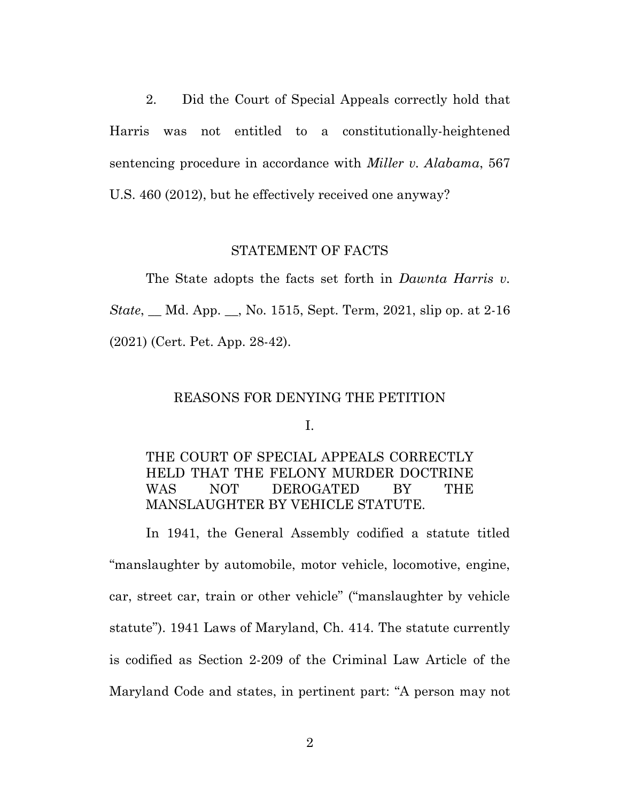2. Did the Court of Special Appeals correctly hold that Harris was not entitled to a constitutionally-heightened sentencing procedure in accordance with *Miller v. Alabama*, 567 U.S. 460 (2012), but he effectively received one anyway?

#### STATEMENT OF FACTS

The State adopts the facts set forth in *Dawnta Harris v. State*, \_\_ Md. App. \_\_, No. 1515, Sept. Term, 2021, slip op. at 2-16 (2021) (Cert. Pet. App. 28-42).

#### REASONS FOR DENYING THE PETITION

I.

## THE COURT OF SPECIAL APPEALS CORRECTLY HELD THAT THE FELONY MURDER DOCTRINE WAS NOT DEROGATED BY THE MANSLAUGHTER BY VEHICLE STATUTE.

In 1941, the General Assembly codified a statute titled "manslaughter by automobile, motor vehicle, locomotive, engine, car, street car, train or other vehicle" ("manslaughter by vehicle statute"). 1941 Laws of Maryland, Ch. 414. The statute currently is codified as Section 2-209 of the Criminal Law Article of the Maryland Code and states, in pertinent part: "A person may not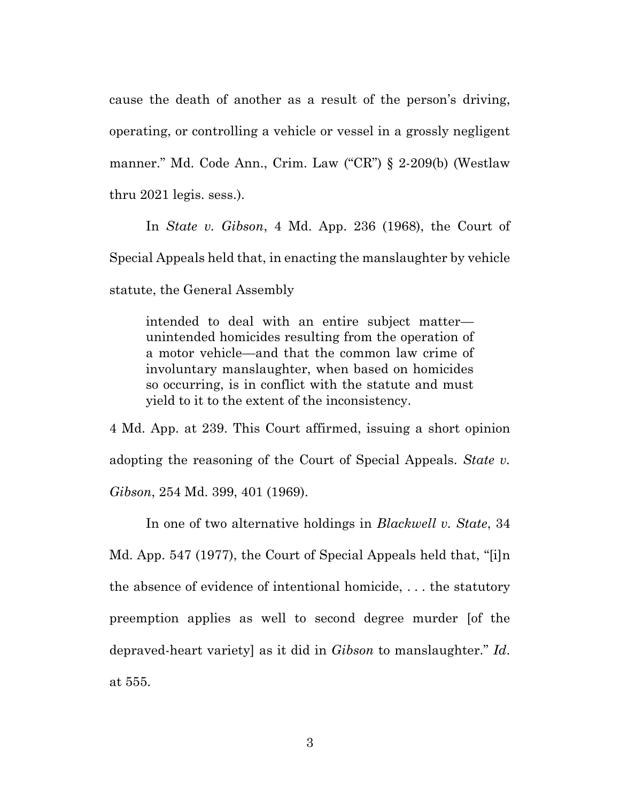cause the death of another as a result of the person's driving, operating, or controlling a vehicle or vessel in a grossly negligent manner." Md. Code Ann., Crim. Law ("CR") § 2-209(b) (Westlaw thru 2021 legis. sess.).

In *State v. Gibson*, 4 Md. App. 236 (1968), the Court of Special Appeals held that, in enacting the manslaughter by vehicle statute, the General Assembly

intended to deal with an entire subject matter unintended homicides resulting from the operation of a motor vehicle—and that the common law crime of involuntary manslaughter, when based on homicides so occurring, is in conflict with the statute and must yield to it to the extent of the inconsistency.

4 Md. App. at 239. This Court affirmed, issuing a short opinion adopting the reasoning of the Court of Special Appeals. *State v. Gibson*, 254 Md. 399, 401 (1969).

In one of two alternative holdings in *Blackwell v. State*, 34 Md. App. 547 (1977), the Court of Special Appeals held that, "[i]n the absence of evidence of intentional homicide, . . . the statutory preemption applies as well to second degree murder [of the depraved-heart variety] as it did in *Gibson* to manslaughter." *Id*. at 555.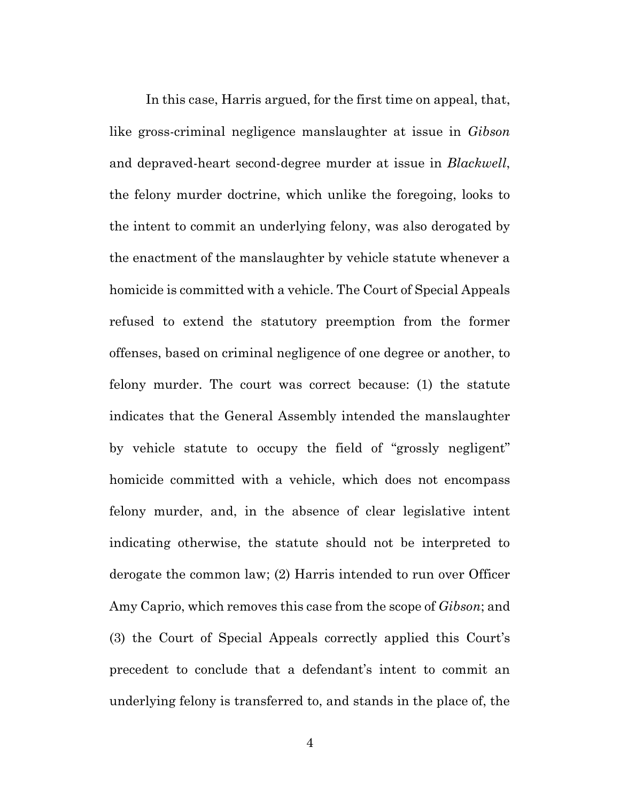In this case, Harris argued, for the first time on appeal, that, like gross-criminal negligence manslaughter at issue in *Gibson* and depraved-heart second-degree murder at issue in *Blackwell*, the felony murder doctrine, which unlike the foregoing, looks to the intent to commit an underlying felony, was also derogated by the enactment of the manslaughter by vehicle statute whenever a homicide is committed with a vehicle. The Court of Special Appeals refused to extend the statutory preemption from the former offenses, based on criminal negligence of one degree or another, to felony murder. The court was correct because: (1) the statute indicates that the General Assembly intended the manslaughter by vehicle statute to occupy the field of "grossly negligent" homicide committed with a vehicle, which does not encompass felony murder, and, in the absence of clear legislative intent indicating otherwise, the statute should not be interpreted to derogate the common law; (2) Harris intended to run over Officer Amy Caprio, which removes this case from the scope of *Gibson*; and (3) the Court of Special Appeals correctly applied this Court's precedent to conclude that a defendant's intent to commit an underlying felony is transferred to, and stands in the place of, the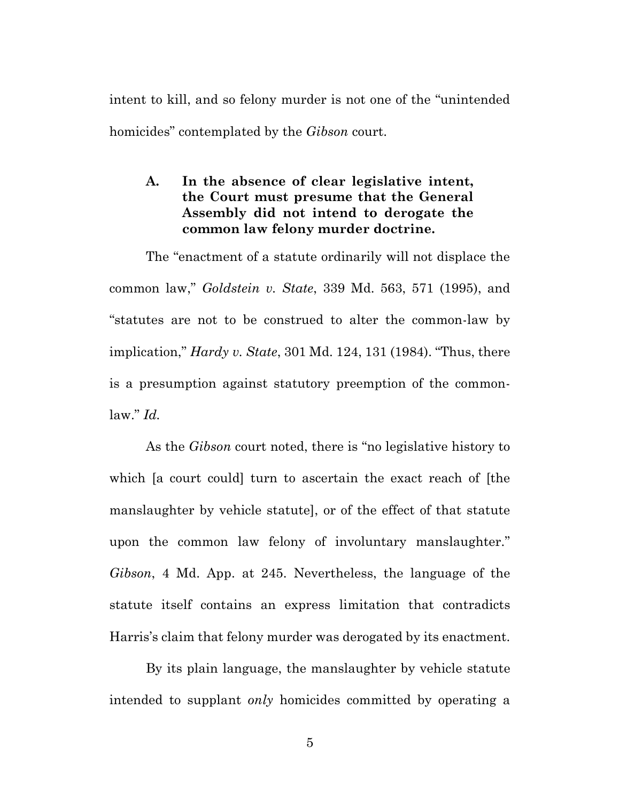intent to kill, and so felony murder is not one of the "unintended homicides" contemplated by the *Gibson* court.

#### **A. In the absence of clear legislative intent, the Court must presume that the General Assembly did not intend to derogate the common law felony murder doctrine.**

The "enactment of a statute ordinarily will not displace the common law," *Goldstein v. State*, 339 Md. 563, 571 (1995), and "statutes are not to be construed to alter the common-law by implication," *Hardy v. State*, 301 Md. 124, 131 (1984). "Thus, there is a presumption against statutory preemption of the commonlaw." *Id.*

As the *Gibson* court noted, there is "no legislative history to which [a court could] turn to ascertain the exact reach of [the manslaughter by vehicle statute], or of the effect of that statute upon the common law felony of involuntary manslaughter." *Gibson*, 4 Md. App. at 245. Nevertheless, the language of the statute itself contains an express limitation that contradicts Harris's claim that felony murder was derogated by its enactment.

By its plain language, the manslaughter by vehicle statute intended to supplant *only* homicides committed by operating a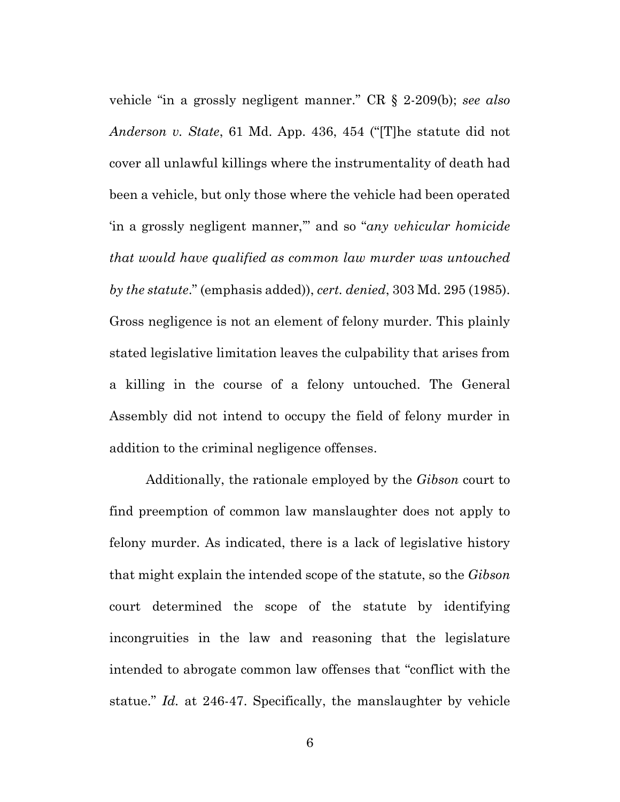vehicle "in a grossly negligent manner." CR § 2-209(b); *see also Anderson v. State*, 61 Md. App. 436, 454 ("[T]he statute did not cover all unlawful killings where the instrumentality of death had been a vehicle, but only those where the vehicle had been operated 'in a grossly negligent manner,'" and so "*any vehicular homicide that would have qualified as common law murder was untouched by the statute*." (emphasis added)), *cert. denied*, 303 Md. 295 (1985). Gross negligence is not an element of felony murder. This plainly stated legislative limitation leaves the culpability that arises from a killing in the course of a felony untouched. The General Assembly did not intend to occupy the field of felony murder in addition to the criminal negligence offenses.

Additionally, the rationale employed by the *Gibson* court to find preemption of common law manslaughter does not apply to felony murder. As indicated, there is a lack of legislative history that might explain the intended scope of the statute, so the *Gibson*  court determined the scope of the statute by identifying incongruities in the law and reasoning that the legislature intended to abrogate common law offenses that "conflict with the statue." *Id.* at 246-47. Specifically, the manslaughter by vehicle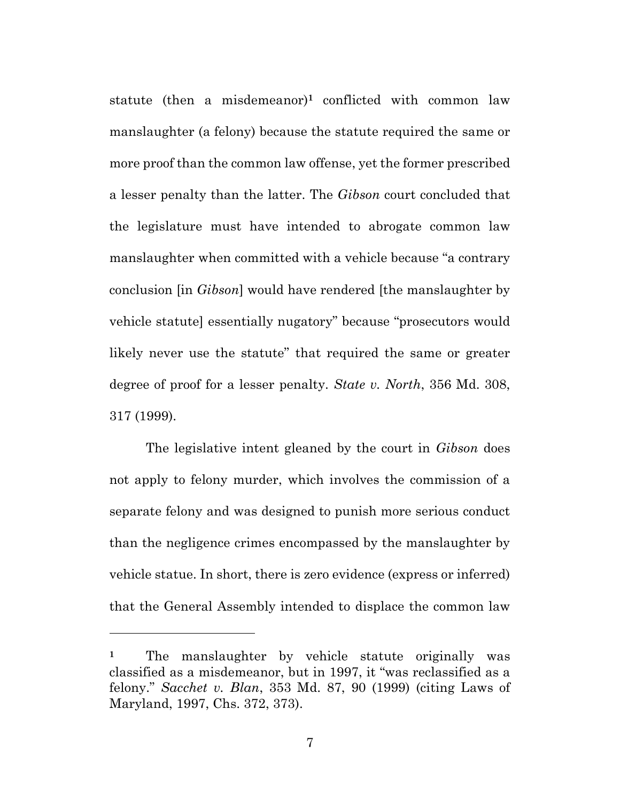statute (then a misdemeanor)**<sup>1</sup>** conflicted with common law manslaughter (a felony) because the statute required the same or more proof than the common law offense, yet the former prescribed a lesser penalty than the latter. The *Gibson* court concluded that the legislature must have intended to abrogate common law manslaughter when committed with a vehicle because "a contrary conclusion [in *Gibson*] would have rendered [the manslaughter by vehicle statute] essentially nugatory" because "prosecutors would likely never use the statute" that required the same or greater degree of proof for a lesser penalty. *State v. North*, 356 Md. 308, 317 (1999).

The legislative intent gleaned by the court in *Gibson* does not apply to felony murder, which involves the commission of a separate felony and was designed to punish more serious conduct than the negligence crimes encompassed by the manslaughter by vehicle statue. In short, there is zero evidence (express or inferred) that the General Assembly intended to displace the common law

**<sup>1</sup>** The manslaughter by vehicle statute originally was classified as a misdemeanor, but in 1997, it "was reclassified as a felony." *Sacchet v. Blan*, 353 Md. 87, 90 (1999) (citing Laws of Maryland, 1997, Chs. 372, 373).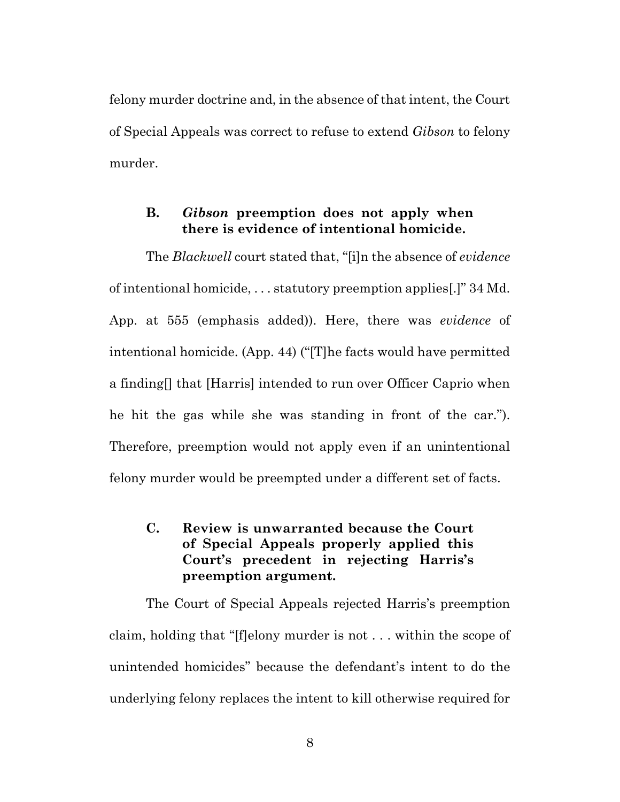felony murder doctrine and, in the absence of that intent, the Court of Special Appeals was correct to refuse to extend *Gibson* to felony murder.

#### **B.** *Gibson* **preemption does not apply when there is evidence of intentional homicide.**

The *Blackwell* court stated that, "[i]n the absence of *evidence* of intentional homicide, . . . statutory preemption applies[.]" 34 Md. App. at 555 (emphasis added)). Here, there was *evidence* of intentional homicide. (App. 44) ("[T]he facts would have permitted a finding[] that [Harris] intended to run over Officer Caprio when he hit the gas while she was standing in front of the car."). Therefore, preemption would not apply even if an unintentional felony murder would be preempted under a different set of facts.

## **C. Review is unwarranted because the Court of Special Appeals properly applied this Court's precedent in rejecting Harris's preemption argument.**

The Court of Special Appeals rejected Harris's preemption claim, holding that "[f]elony murder is not . . . within the scope of unintended homicides" because the defendant's intent to do the underlying felony replaces the intent to kill otherwise required for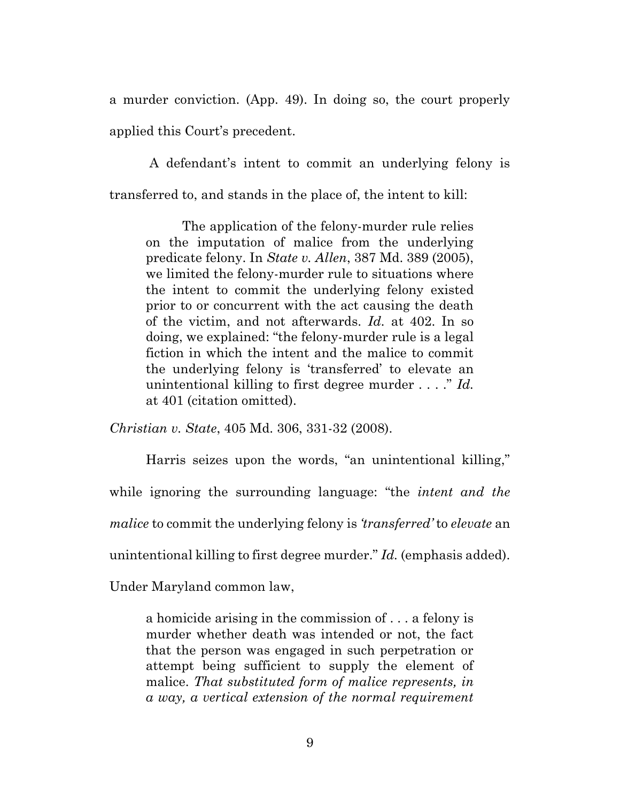a murder conviction. (App. 49). In doing so, the court properly applied this Court's precedent.

A defendant's intent to commit an underlying felony is transferred to, and stands in the place of, the intent to kill:

The application of the felony-murder rule relies on the imputation of malice from the underlying predicate felony. In *State v. Allen*, 387 Md. 389 (2005), we limited the felony-murder rule to situations where the intent to commit the underlying felony existed prior to or concurrent with the act causing the death of the victim, and not afterwards. *Id.* at 402. In so doing, we explained: "the felony-murder rule is a legal fiction in which the intent and the malice to commit the underlying felony is 'transferred' to elevate an unintentional killing to first degree murder . . . ." *Id.* at 401 (citation omitted).

*Christian v. State*, 405 Md. 306, 331-32 (2008).

Harris seizes upon the words, "an unintentional killing," while ignoring the surrounding language: "the *intent and the malice* to commit the underlying felony is *'transferred'* to *elevate* an unintentional killing to first degree murder." *Id.* (emphasis added).

Under Maryland common law,

a homicide arising in the commission of . . . a felony is murder whether death was intended or not, the fact that the person was engaged in such perpetration or attempt being sufficient to supply the element of malice. *That substituted form of malice represents, in a way, a vertical extension of the normal requirement*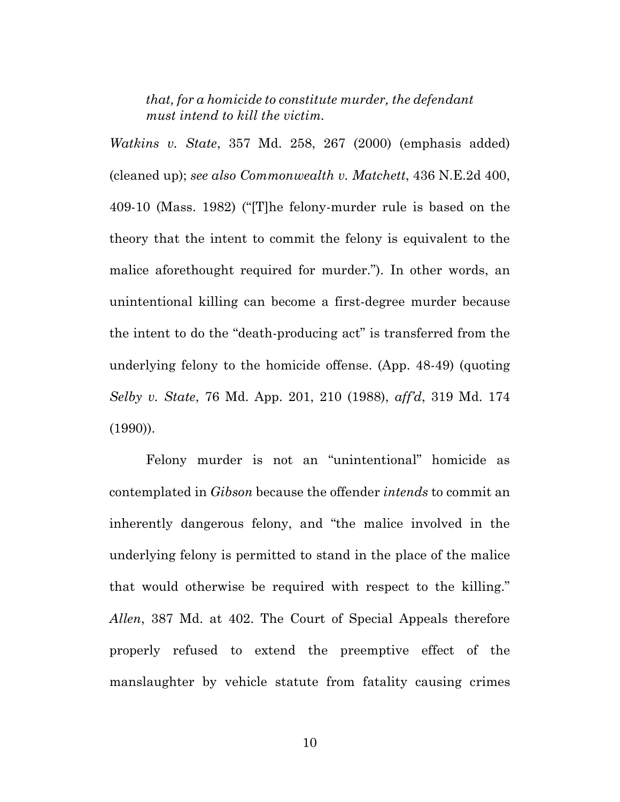*that, for a homicide to constitute murder, the defendant must intend to kill the victim.*

*Watkins v. State*, 357 Md. 258, 267 (2000) (emphasis added) (cleaned up); *see also Commonwealth v. Matchett*, 436 N.E.2d 400, 409-10 (Mass. 1982) ("[T]he felony-murder rule is based on the theory that the intent to commit the felony is equivalent to the malice aforethought required for murder."). In other words, an unintentional killing can become a first-degree murder because the intent to do the "death-producing act" is transferred from the underlying felony to the homicide offense. (App. 48-49) (quoting *Selby v. State*, 76 Md. App. 201, 210 (1988), *aff'd*, 319 Md. 174 (1990)).

Felony murder is not an "unintentional" homicide as contemplated in *Gibson* because the offender *intends* to commit an inherently dangerous felony, and "the malice involved in the underlying felony is permitted to stand in the place of the malice that would otherwise be required with respect to the killing." *Allen*, 387 Md. at 402. The Court of Special Appeals therefore properly refused to extend the preemptive effect of the manslaughter by vehicle statute from fatality causing crimes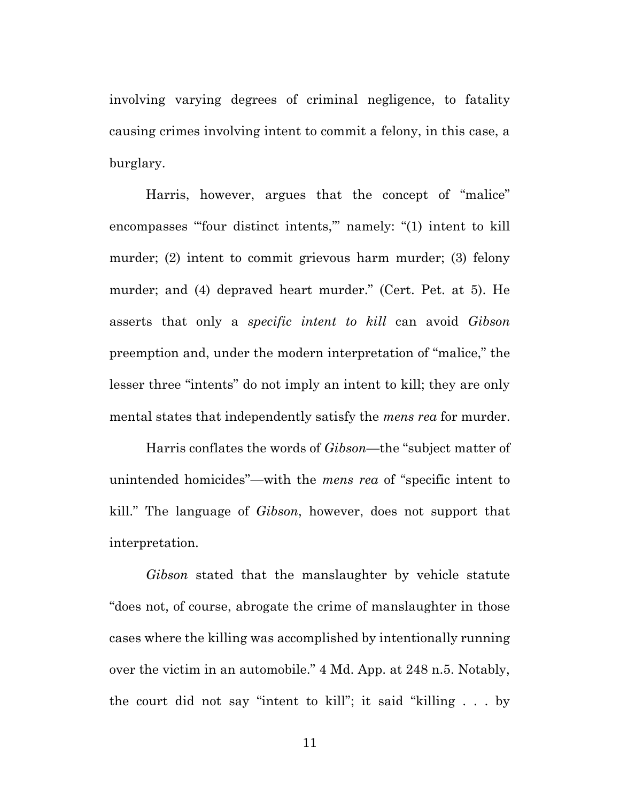involving varying degrees of criminal negligence, to fatality causing crimes involving intent to commit a felony, in this case, a burglary.

Harris, however, argues that the concept of "malice" encompasses "four distinct intents," namely: "(1) intent to kill murder; (2) intent to commit grievous harm murder; (3) felony murder; and (4) depraved heart murder." (Cert. Pet. at 5). He asserts that only a *specific intent to kill* can avoid *Gibson* preemption and, under the modern interpretation of "malice," the lesser three "intents" do not imply an intent to kill; they are only mental states that independently satisfy the *mens rea* for murder.

Harris conflates the words of *Gibson*—the "subject matter of unintended homicides"—with the *mens rea* of "specific intent to kill." The language of *Gibson*, however, does not support that interpretation.

*Gibson* stated that the manslaughter by vehicle statute "does not, of course, abrogate the crime of manslaughter in those cases where the killing was accomplished by intentionally running over the victim in an automobile." 4 Md. App. at 248 n.5. Notably, the court did not say "intent to kill"; it said "killing . . . by

11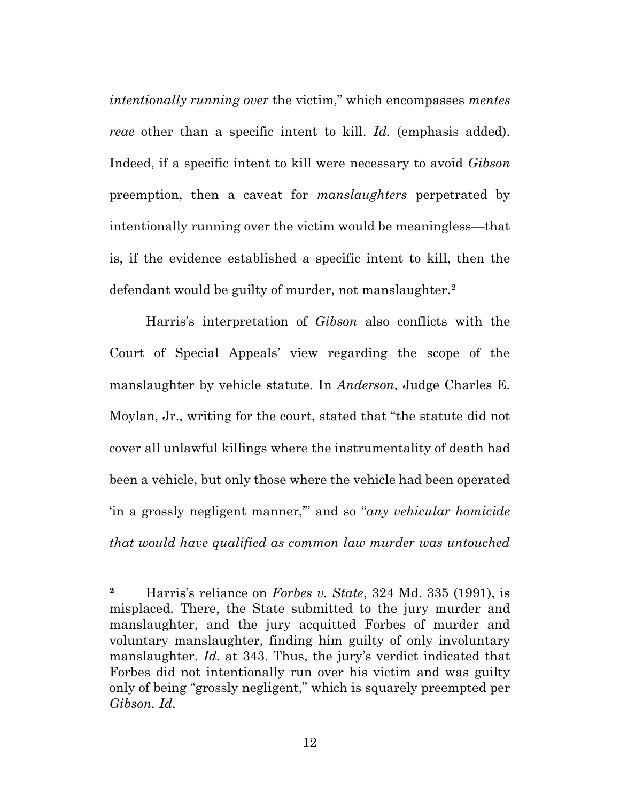*intentionally running over* the victim," which encompasses *mentes reae* other than a specific intent to kill. *Id.* (emphasis added). Indeed, if a specific intent to kill were necessary to avoid *Gibson*  preemption, then a caveat for *manslaughters* perpetrated by intentionally running over the victim would be meaningless—that is, if the evidence established a specific intent to kill, then the defendant would be guilty of murder, not manslaughter.**<sup>2</sup>**

Harris's interpretation of *Gibson* also conflicts with the Court of Special Appeals' view regarding the scope of the manslaughter by vehicle statute. In *Anderson*, Judge Charles E. Moylan, Jr., writing for the court, stated that "the statute did not cover all unlawful killings where the instrumentality of death had been a vehicle, but only those where the vehicle had been operated 'in a grossly negligent manner,'" and so "*any vehicular homicide that would have qualified as common law murder was untouched* 

**<sup>2</sup>** Harris's reliance on *Forbes v. State*, 324 Md. 335 (1991), is misplaced. There, the State submitted to the jury murder and manslaughter, and the jury acquitted Forbes of murder and voluntary manslaughter, finding him guilty of only involuntary manslaughter. *Id.* at 343. Thus, the jury's verdict indicated that Forbes did not intentionally run over his victim and was guilty only of being "grossly negligent," which is squarely preempted per *Gibson. Id.*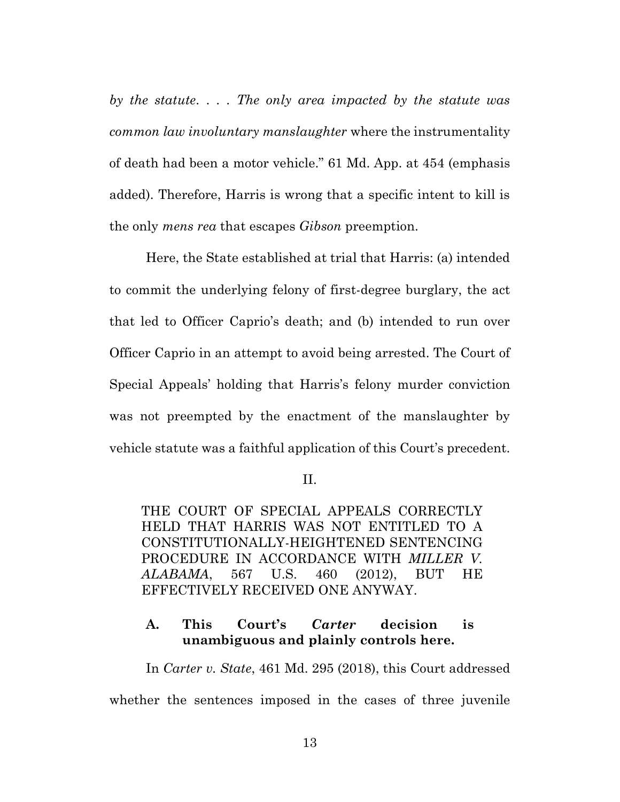*by the statute*. . . . *The only area impacted by the statute was common law involuntary manslaughter* where the instrumentality of death had been a motor vehicle." 61 Md. App. at 454 (emphasis added). Therefore, Harris is wrong that a specific intent to kill is the only *mens rea* that escapes *Gibson* preemption.

Here, the State established at trial that Harris: (a) intended to commit the underlying felony of first-degree burglary, the act that led to Officer Caprio's death; and (b) intended to run over Officer Caprio in an attempt to avoid being arrested. The Court of Special Appeals' holding that Harris's felony murder conviction was not preempted by the enactment of the manslaughter by vehicle statute was a faithful application of this Court's precedent.

II.

THE COURT OF SPECIAL APPEALS CORRECTLY HELD THAT HARRIS WAS NOT ENTITLED TO A CONSTITUTIONALLY-HEIGHTENED SENTENCING PROCEDURE IN ACCORDANCE WITH *MILLER V. ALABAMA*, 567 U.S. 460 (2012), BUT HE EFFECTIVELY RECEIVED ONE ANYWAY.

## **A. This Court's** *Carter* **decision is unambiguous and plainly controls here.**

In *Carter v. State*, 461 Md. 295 (2018), this Court addressed whether the sentences imposed in the cases of three juvenile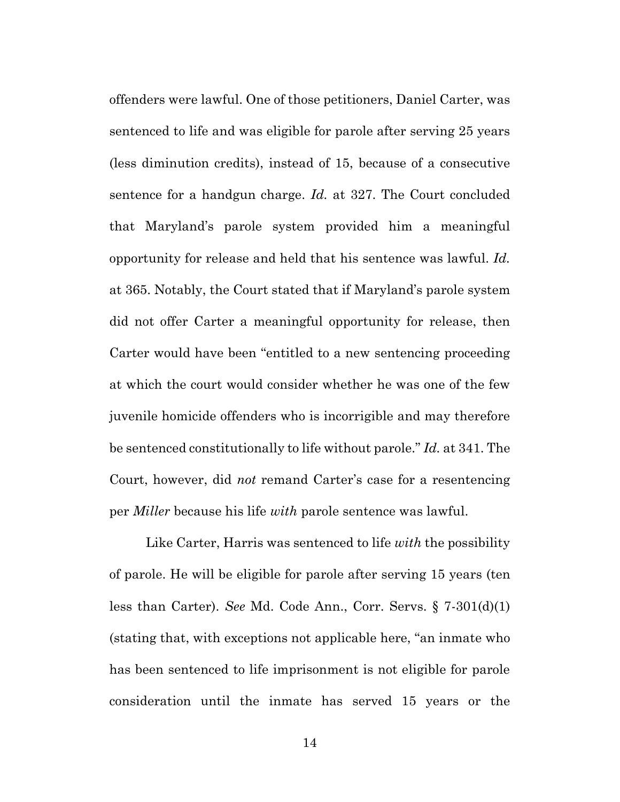offenders were lawful. One of those petitioners, Daniel Carter, was sentenced to life and was eligible for parole after serving 25 years (less diminution credits), instead of 15, because of a consecutive sentence for a handgun charge. *Id.* at 327. The Court concluded that Maryland's parole system provided him a meaningful opportunity for release and held that his sentence was lawful. *Id.* at 365. Notably, the Court stated that if Maryland's parole system did not offer Carter a meaningful opportunity for release, then Carter would have been "entitled to a new sentencing proceeding at which the court would consider whether he was one of the few juvenile homicide offenders who is incorrigible and may therefore be sentenced constitutionally to life without parole." *Id.* at 341. The Court, however, did *not* remand Carter's case for a resentencing per *Miller* because his life *with* parole sentence was lawful.

Like Carter, Harris was sentenced to life *with* the possibility of parole. He will be eligible for parole after serving 15 years (ten less than Carter). *See* Md. Code Ann., Corr. Servs. § 7-301(d)(1) (stating that, with exceptions not applicable here, "an inmate who has been sentenced to life imprisonment is not eligible for parole consideration until the inmate has served 15 years or the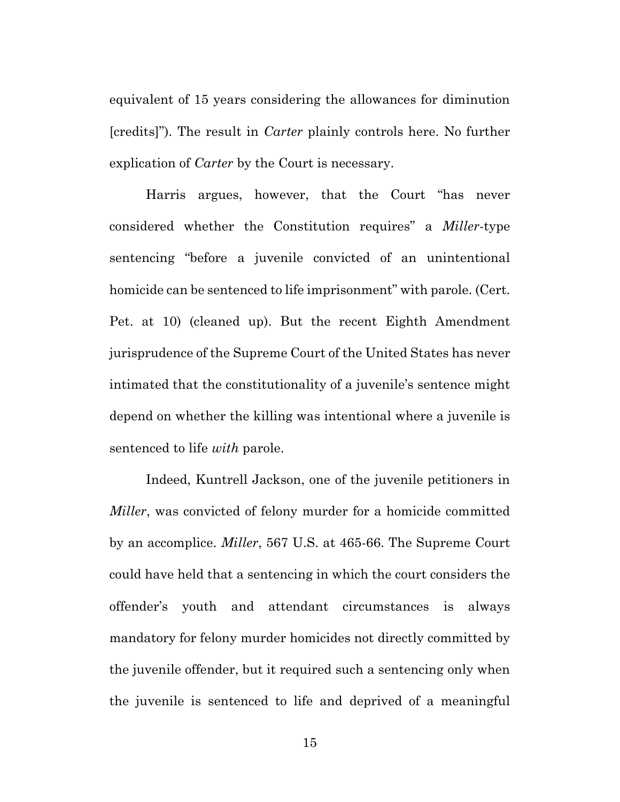equivalent of 15 years considering the allowances for diminution [credits]"). The result in *Carter* plainly controls here. No further explication of *Carter* by the Court is necessary.

Harris argues, however, that the Court "has never considered whether the Constitution requires" a *Miller*-type sentencing "before a juvenile convicted of an unintentional homicide can be sentenced to life imprisonment" with parole. (Cert. Pet. at 10) (cleaned up). But the recent Eighth Amendment jurisprudence of the Supreme Court of the United States has never intimated that the constitutionality of a juvenile's sentence might depend on whether the killing was intentional where a juvenile is sentenced to life *with* parole.

Indeed, Kuntrell Jackson, one of the juvenile petitioners in *Miller*, was convicted of felony murder for a homicide committed by an accomplice. *Miller*, 567 U.S. at 465-66. The Supreme Court could have held that a sentencing in which the court considers the offender's youth and attendant circumstances is always mandatory for felony murder homicides not directly committed by the juvenile offender, but it required such a sentencing only when the juvenile is sentenced to life and deprived of a meaningful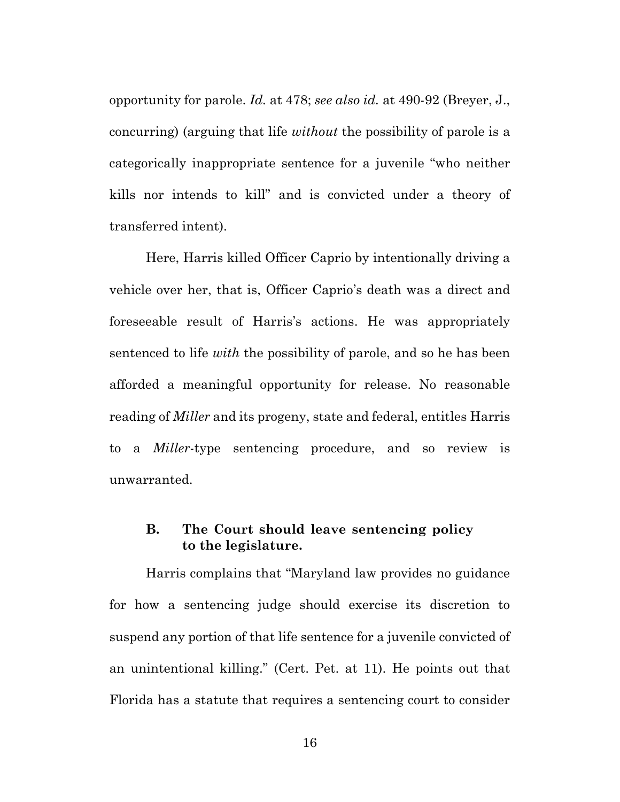opportunity for parole. *Id.* at 478; *see also id.* at 490-92 (Breyer, J., concurring) (arguing that life *without* the possibility of parole is a categorically inappropriate sentence for a juvenile "who neither kills nor intends to kill" and is convicted under a theory of transferred intent).

Here, Harris killed Officer Caprio by intentionally driving a vehicle over her, that is, Officer Caprio's death was a direct and foreseeable result of Harris's actions. He was appropriately sentenced to life *with* the possibility of parole, and so he has been afforded a meaningful opportunity for release. No reasonable reading of *Miller* and its progeny, state and federal, entitles Harris to a *Miller*-type sentencing procedure, and so review is unwarranted.

### **B. The Court should leave sentencing policy to the legislature.**

Harris complains that "Maryland law provides no guidance for how a sentencing judge should exercise its discretion to suspend any portion of that life sentence for a juvenile convicted of an unintentional killing." (Cert. Pet. at 11). He points out that Florida has a statute that requires a sentencing court to consider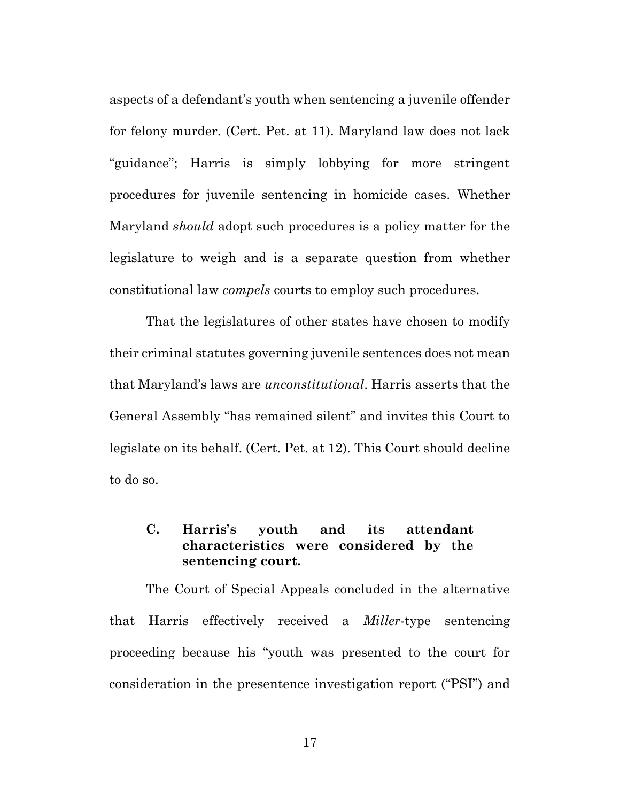aspects of a defendant's youth when sentencing a juvenile offender for felony murder. (Cert. Pet. at 11). Maryland law does not lack "guidance"; Harris is simply lobbying for more stringent procedures for juvenile sentencing in homicide cases. Whether Maryland *should* adopt such procedures is a policy matter for the legislature to weigh and is a separate question from whether constitutional law *compels* courts to employ such procedures.

That the legislatures of other states have chosen to modify their criminal statutes governing juvenile sentences does not mean that Maryland's laws are *unconstitutional*. Harris asserts that the General Assembly "has remained silent" and invites this Court to legislate on its behalf. (Cert. Pet. at 12). This Court should decline to do so.

### **C. Harris's youth and its attendant characteristics were considered by the sentencing court.**

The Court of Special Appeals concluded in the alternative that Harris effectively received a *Miller*-type sentencing proceeding because his "youth was presented to the court for consideration in the presentence investigation report ("PSI") and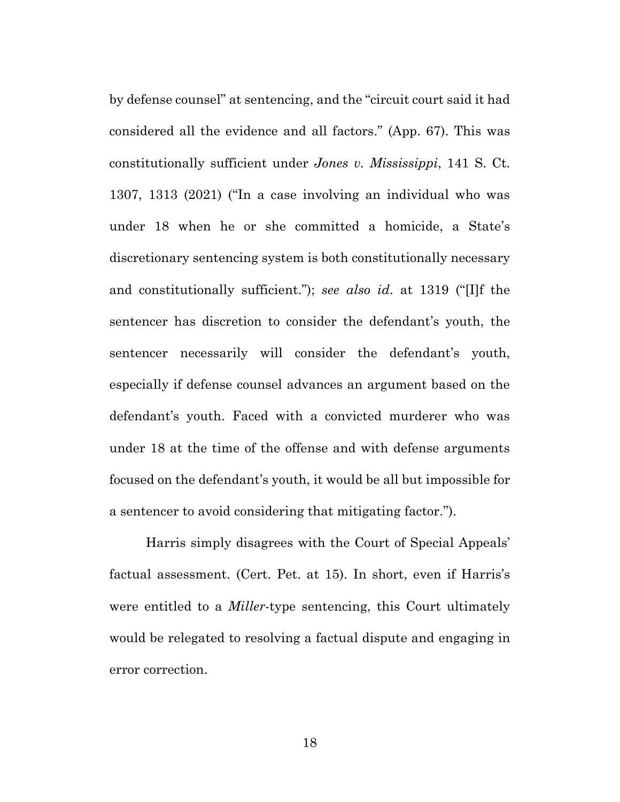by defense counsel" at sentencing, and the "circuit court said it had considered all the evidence and all factors." (App. 67). This was constitutionally sufficient under *Jones v. Mississippi*, 141 S. Ct. 1307, 1313 (2021) ("In a case involving an individual who was under 18 when he or she committed a homicide, a State's discretionary sentencing system is both constitutionally necessary and constitutionally sufficient."); *see also id*. at 1319 ("[I]f the sentencer has discretion to consider the defendant's youth, the sentencer necessarily will consider the defendant's youth, especially if defense counsel advances an argument based on the defendant's youth. Faced with a convicted murderer who was under 18 at the time of the offense and with defense arguments focused on the defendant's youth, it would be all but impossible for a sentencer to avoid considering that mitigating factor.").

Harris simply disagrees with the Court of Special Appeals' factual assessment. (Cert. Pet. at 15). In short, even if Harris's were entitled to a *Miller*-type sentencing, this Court ultimately would be relegated to resolving a factual dispute and engaging in error correction.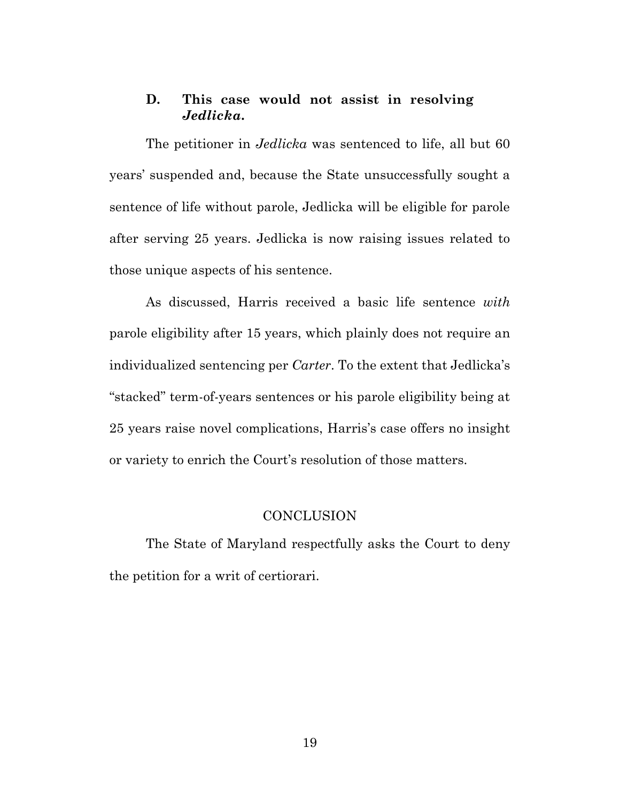#### **D. This case would not assist in resolving**  *Jedlicka***.**

The petitioner in *Jedlicka* was sentenced to life, all but 60 years' suspended and, because the State unsuccessfully sought a sentence of life without parole, Jedlicka will be eligible for parole after serving 25 years. Jedlicka is now raising issues related to those unique aspects of his sentence.

As discussed, Harris received a basic life sentence *with* parole eligibility after 15 years, which plainly does not require an individualized sentencing per *Carter*. To the extent that Jedlicka's "stacked" term-of-years sentences or his parole eligibility being at 25 years raise novel complications, Harris's case offers no insight or variety to enrich the Court's resolution of those matters.

#### **CONCLUSION**

The State of Maryland respectfully asks the Court to deny the petition for a writ of certiorari.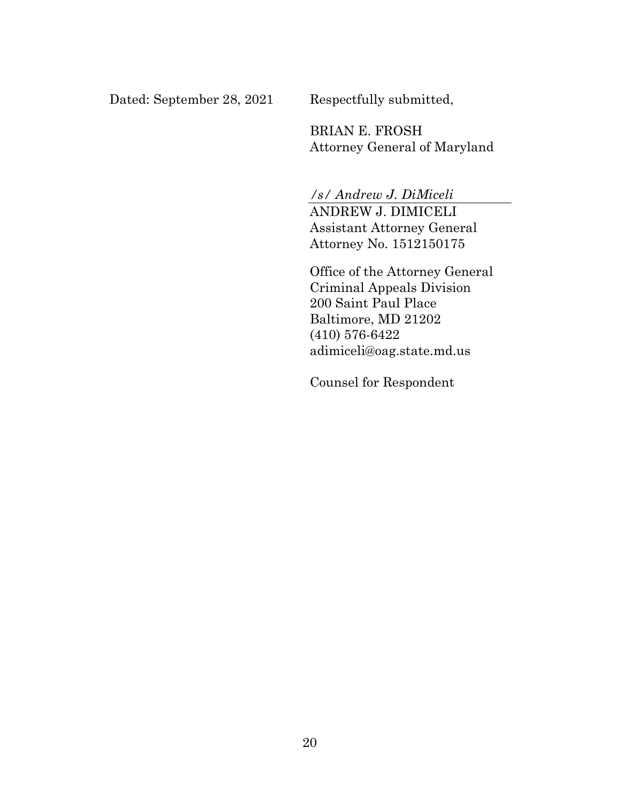Dated: September 28, 2021 Respectfully submitted,

BRIAN E. FROSH Attorney General of Maryland

*/s/ Andrew J. DiMiceli*

ANDREW J. DIMICELI Assistant Attorney General Attorney No. 1512150175

Office of the Attorney General Criminal Appeals Division 200 Saint Paul Place Baltimore, MD 21202 (410) 576-6422 adimiceli@oag.state.md.us

Counsel for Respondent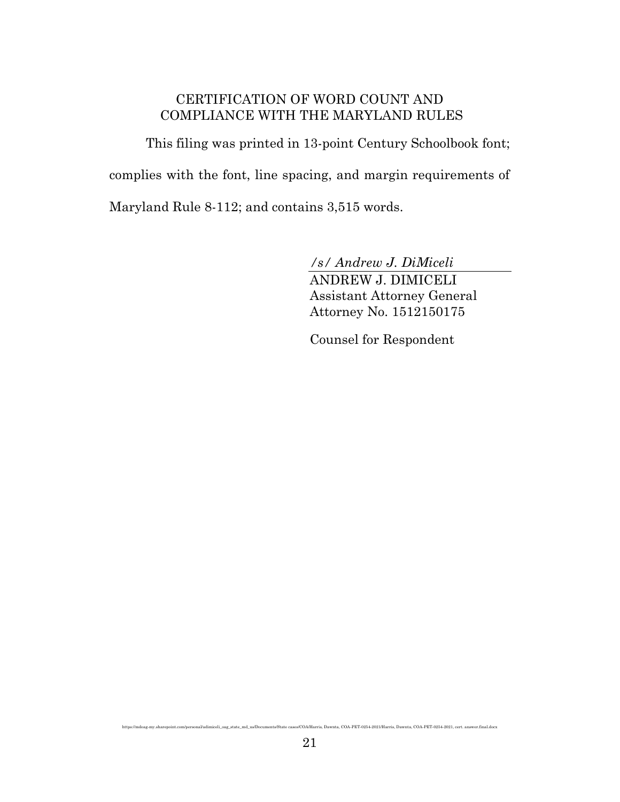#### CERTIFICATION OF WORD COUNT AND COMPLIANCE WITH THE MARYLAND RULES

This filing was printed in 13-point Century Schoolbook font; complies with the font, line spacing, and margin requirements of Maryland Rule 8-112; and contains 3,515 words.

*/s/ Andrew J. DiMiceli*

ANDREW J. DIMICELI Assistant Attorney General Attorney No. 1512150175

Counsel for Respondent

https://mdoag-my.sharepoint.com/personal/adimiceli\_oag\_state\_md\_us/Documents/State cases/COA/Harris, Dawnta, COA-PET-0254-2021/Harris, Dawnta, COA-PET-0254-2021, cert. answer.final.docx